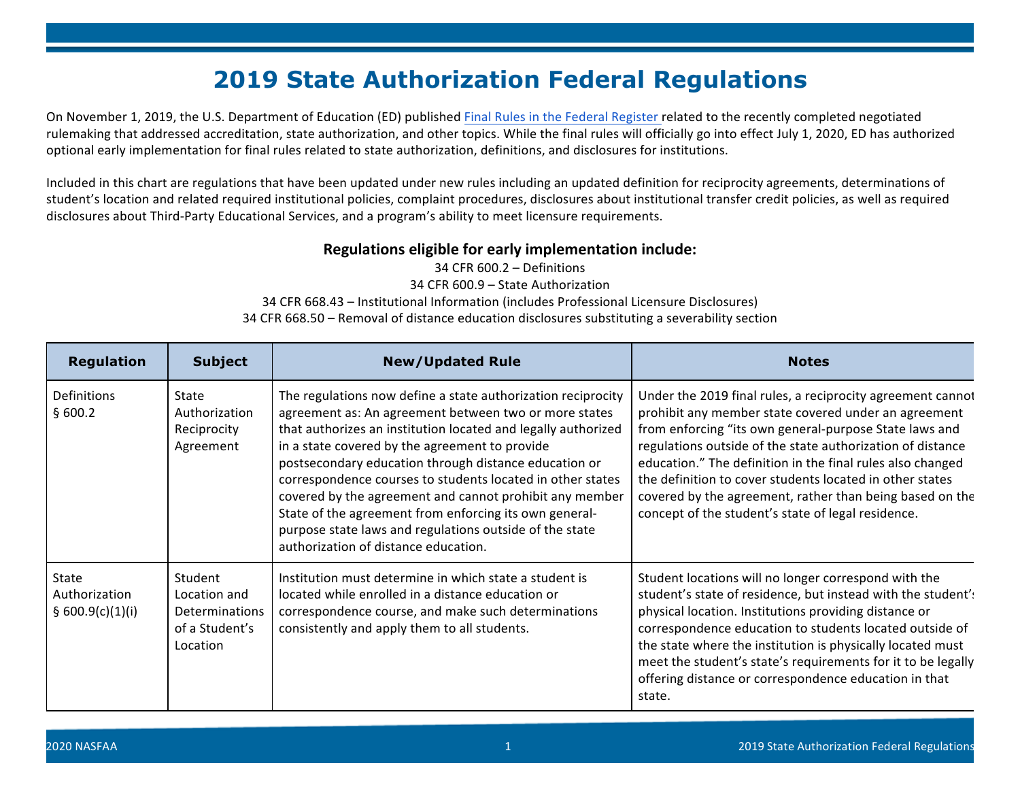## **2019 State Authorization Federal Regulations**

On November 1, 2019, the U.S. Department of Education (ED) published Final Rules in the Federal Register related to the recently completed negotiated rulemaking that addressed accreditation, state authorization, and other topics. While the final rules will officially go into effect July 1, 2020, ED has authorized optional early implementation for final rules related to state authorization, definitions, and disclosures for institutions.

Included in this chart are regulations that have been updated under new rules including an updated definition for reciprocity agreements, determinations of student's location and related required institutional policies, complaint procedures, disclosures about institutional transfer credit policies, as well as required disclosures about Third-Party Educational Services, and a program's ability to meet licensure requirements.

## **Regulations eligible for early implementation include:**

34 CFR 600.2 – Definitions

34 CFR 600.9 - State Authorization

34 CFR 668.43 - Institutional Information (includes Professional Licensure Disclosures) 34 CFR 668.50 – Removal of distance education disclosures substituting a severability section

| <b>Regulation</b>                          | <b>Subject</b>                                                          | <b>New/Updated Rule</b>                                                                                                                                                                                                                                                                                                                                                                                                                                                                                                                                                                 | <b>Notes</b>                                                                                                                                                                                                                                                                                                                                                                                                                                                                           |
|--------------------------------------------|-------------------------------------------------------------------------|-----------------------------------------------------------------------------------------------------------------------------------------------------------------------------------------------------------------------------------------------------------------------------------------------------------------------------------------------------------------------------------------------------------------------------------------------------------------------------------------------------------------------------------------------------------------------------------------|----------------------------------------------------------------------------------------------------------------------------------------------------------------------------------------------------------------------------------------------------------------------------------------------------------------------------------------------------------------------------------------------------------------------------------------------------------------------------------------|
| <b>Definitions</b><br>§ 600.2              | State<br>Authorization<br>Reciprocity<br>Agreement                      | The regulations now define a state authorization reciprocity<br>agreement as: An agreement between two or more states<br>that authorizes an institution located and legally authorized<br>in a state covered by the agreement to provide<br>postsecondary education through distance education or<br>correspondence courses to students located in other states<br>covered by the agreement and cannot prohibit any member<br>State of the agreement from enforcing its own general-<br>purpose state laws and regulations outside of the state<br>authorization of distance education. | Under the 2019 final rules, a reciprocity agreement cannot<br>prohibit any member state covered under an agreement<br>from enforcing "its own general-purpose State laws and<br>regulations outside of the state authorization of distance<br>education." The definition in the final rules also changed<br>the definition to cover students located in other states<br>covered by the agreement, rather than being based on the<br>concept of the student's state of legal residence. |
| State<br>Authorization<br>\$600.9(c)(1)(i) | Student<br>Location and<br>Determinations<br>of a Student's<br>Location | Institution must determine in which state a student is<br>located while enrolled in a distance education or<br>correspondence course, and make such determinations<br>consistently and apply them to all students.                                                                                                                                                                                                                                                                                                                                                                      | Student locations will no longer correspond with the<br>student's state of residence, but instead with the student's<br>physical location. Institutions providing distance or<br>correspondence education to students located outside of<br>the state where the institution is physically located must<br>meet the student's state's requirements for it to be legally<br>offering distance or correspondence education in that<br>state.                                              |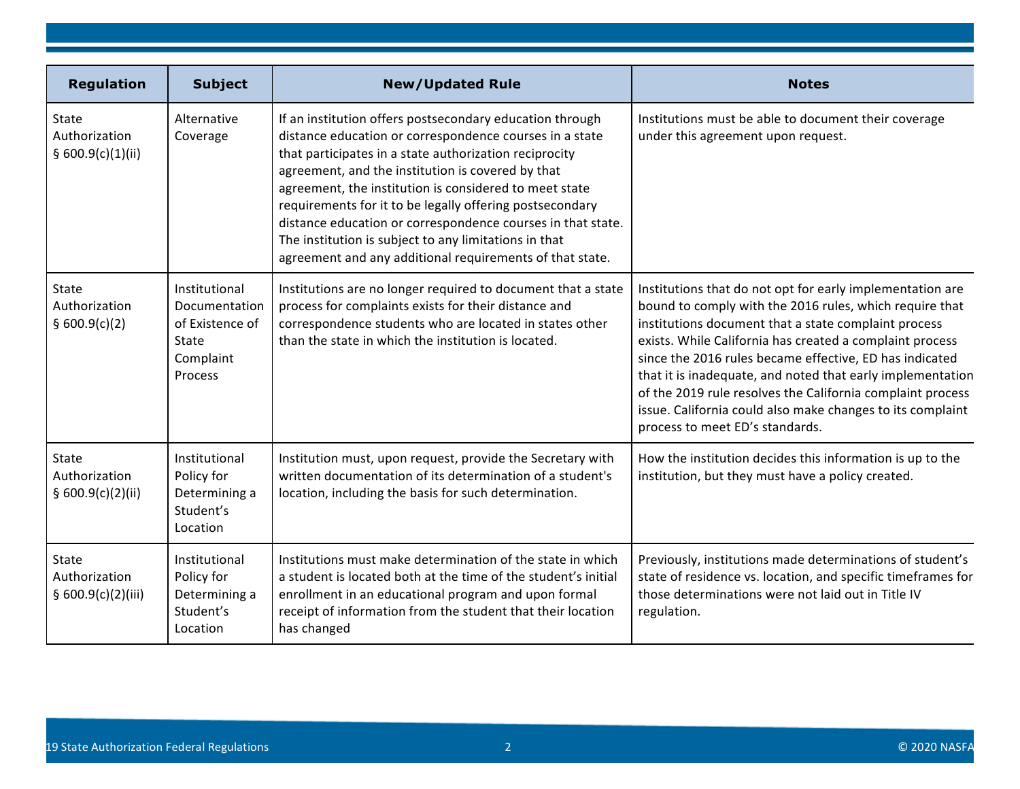| <b>Regulation</b>                            | <b>Subject</b>                                                                     | <b>New/Updated Rule</b>                                                                                                                                                                                                                                                                                                                                                                                                                                                                                                                      | <b>Notes</b>                                                                                                                                                                                                                                                                                                                                                                                                                                                                                                                     |
|----------------------------------------------|------------------------------------------------------------------------------------|----------------------------------------------------------------------------------------------------------------------------------------------------------------------------------------------------------------------------------------------------------------------------------------------------------------------------------------------------------------------------------------------------------------------------------------------------------------------------------------------------------------------------------------------|----------------------------------------------------------------------------------------------------------------------------------------------------------------------------------------------------------------------------------------------------------------------------------------------------------------------------------------------------------------------------------------------------------------------------------------------------------------------------------------------------------------------------------|
| State<br>Authorization<br>\$600.9(c)(1)(ii)  | Alternative<br>Coverage                                                            | If an institution offers postsecondary education through<br>distance education or correspondence courses in a state<br>that participates in a state authorization reciprocity<br>agreement, and the institution is covered by that<br>agreement, the institution is considered to meet state<br>requirements for it to be legally offering postsecondary<br>distance education or correspondence courses in that state.<br>The institution is subject to any limitations in that<br>agreement and any additional requirements of that state. | Institutions must be able to document their coverage<br>under this agreement upon request.                                                                                                                                                                                                                                                                                                                                                                                                                                       |
| State<br>Authorization<br>\$600.9(c)(2)      | Institutional<br>Documentation<br>of Existence of<br>State<br>Complaint<br>Process | Institutions are no longer required to document that a state<br>process for complaints exists for their distance and<br>correspondence students who are located in states other<br>than the state in which the institution is located.                                                                                                                                                                                                                                                                                                       | Institutions that do not opt for early implementation are<br>bound to comply with the 2016 rules, which require that<br>institutions document that a state complaint process<br>exists. While California has created a complaint process<br>since the 2016 rules became effective, ED has indicated<br>that it is inadequate, and noted that early implementation<br>of the 2019 rule resolves the California complaint process<br>issue. California could also make changes to its complaint<br>process to meet ED's standards. |
| State<br>Authorization<br>\$600.9(c)(2)(ii)  | Institutional<br>Policy for<br>Determining a<br>Student's<br>Location              | Institution must, upon request, provide the Secretary with<br>written documentation of its determination of a student's<br>location, including the basis for such determination.                                                                                                                                                                                                                                                                                                                                                             | How the institution decides this information is up to the<br>institution, but they must have a policy created.                                                                                                                                                                                                                                                                                                                                                                                                                   |
| State<br>Authorization<br>\$600.9(c)(2)(iii) | Institutional<br>Policy for<br>Determining a<br>Student's<br>Location              | Institutions must make determination of the state in which<br>a student is located both at the time of the student's initial<br>enrollment in an educational program and upon formal<br>receipt of information from the student that their location<br>has changed                                                                                                                                                                                                                                                                           | Previously, institutions made determinations of student's<br>state of residence vs. location, and specific timeframes for<br>those determinations were not laid out in Title IV<br>regulation.                                                                                                                                                                                                                                                                                                                                   |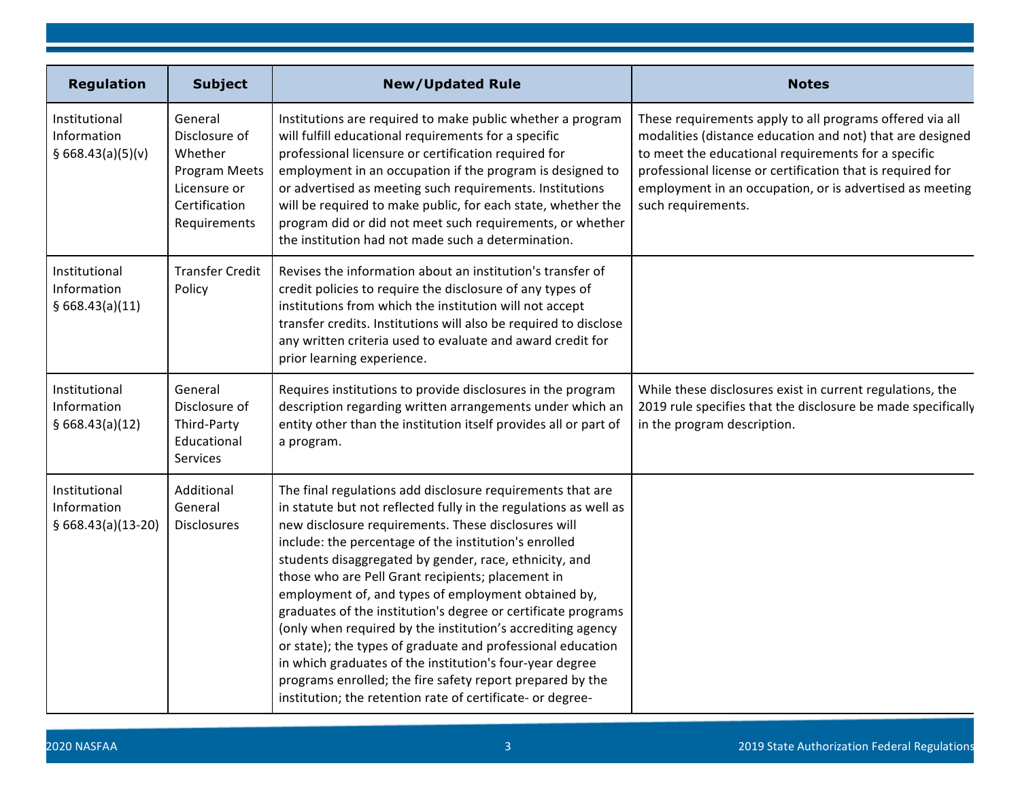| <b>Regulation</b>                                    | <b>Subject</b>                                                                                        | <b>New/Updated Rule</b>                                                                                                                                                                                                                                                                                                                                                                                                                                                                                                                                                                                                                                                                                                                                                                                    | <b>Notes</b>                                                                                                                                                                                                                                                                                                                 |
|------------------------------------------------------|-------------------------------------------------------------------------------------------------------|------------------------------------------------------------------------------------------------------------------------------------------------------------------------------------------------------------------------------------------------------------------------------------------------------------------------------------------------------------------------------------------------------------------------------------------------------------------------------------------------------------------------------------------------------------------------------------------------------------------------------------------------------------------------------------------------------------------------------------------------------------------------------------------------------------|------------------------------------------------------------------------------------------------------------------------------------------------------------------------------------------------------------------------------------------------------------------------------------------------------------------------------|
| Institutional<br>Information<br>§ 668.43(a)(5)(v)    | General<br>Disclosure of<br>Whether<br>Program Meets<br>Licensure or<br>Certification<br>Requirements | Institutions are required to make public whether a program<br>will fulfill educational requirements for a specific<br>professional licensure or certification required for<br>employment in an occupation if the program is designed to<br>or advertised as meeting such requirements. Institutions<br>will be required to make public, for each state, whether the<br>program did or did not meet such requirements, or whether<br>the institution had not made such a determination.                                                                                                                                                                                                                                                                                                                     | These requirements apply to all programs offered via all<br>modalities (distance education and not) that are designed<br>to meet the educational requirements for a specific<br>professional license or certification that is required for<br>employment in an occupation, or is advertised as meeting<br>such requirements. |
| Institutional<br>Information<br>§ 668.43(a)(11)      | <b>Transfer Credit</b><br>Policy                                                                      | Revises the information about an institution's transfer of<br>credit policies to require the disclosure of any types of<br>institutions from which the institution will not accept<br>transfer credits. Institutions will also be required to disclose<br>any written criteria used to evaluate and award credit for<br>prior learning experience.                                                                                                                                                                                                                                                                                                                                                                                                                                                         |                                                                                                                                                                                                                                                                                                                              |
| Institutional<br>Information<br>§ 668.43(a)(12)      | General<br>Disclosure of<br>Third-Party<br>Educational<br>Services                                    | Requires institutions to provide disclosures in the program<br>description regarding written arrangements under which an<br>entity other than the institution itself provides all or part of<br>a program.                                                                                                                                                                                                                                                                                                                                                                                                                                                                                                                                                                                                 | While these disclosures exist in current regulations, the<br>2019 rule specifies that the disclosure be made specifically<br>in the program description.                                                                                                                                                                     |
| Institutional<br>Information<br>$§ 668.43(a)(13-20)$ | Additional<br>General<br><b>Disclosures</b>                                                           | The final regulations add disclosure requirements that are<br>in statute but not reflected fully in the regulations as well as<br>new disclosure requirements. These disclosures will<br>include: the percentage of the institution's enrolled<br>students disaggregated by gender, race, ethnicity, and<br>those who are Pell Grant recipients; placement in<br>employment of, and types of employment obtained by,<br>graduates of the institution's degree or certificate programs<br>(only when required by the institution's accrediting agency<br>or state); the types of graduate and professional education<br>in which graduates of the institution's four-year degree<br>programs enrolled; the fire safety report prepared by the<br>institution; the retention rate of certificate- or degree- |                                                                                                                                                                                                                                                                                                                              |